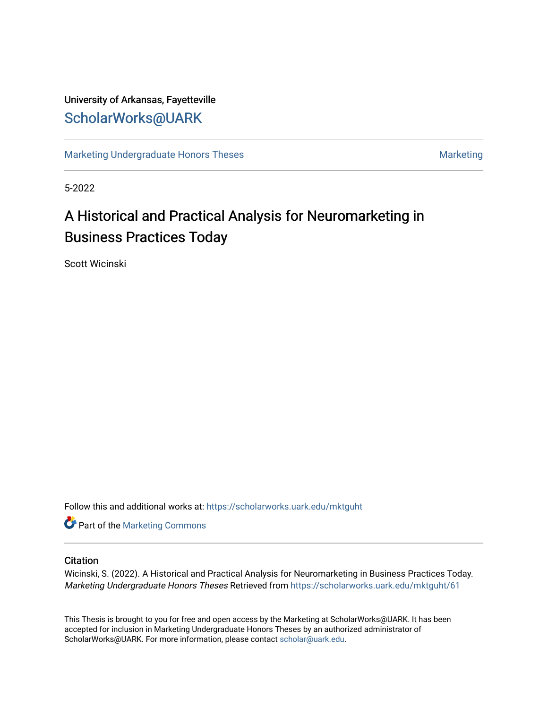## University of Arkansas, Fayetteville [ScholarWorks@UARK](https://scholarworks.uark.edu/)

[Marketing Undergraduate Honors Theses](https://scholarworks.uark.edu/mktguht) [Marketing](https://scholarworks.uark.edu/mktg) Marketing

5-2022

# A Historical and Practical Analysis for Neuromarketing in Business Practices Today

Scott Wicinski

Follow this and additional works at: [https://scholarworks.uark.edu/mktguht](https://scholarworks.uark.edu/mktguht?utm_source=scholarworks.uark.edu%2Fmktguht%2F61&utm_medium=PDF&utm_campaign=PDFCoverPages)

**Part of the [Marketing Commons](http://network.bepress.com/hgg/discipline/638?utm_source=scholarworks.uark.edu%2Fmktguht%2F61&utm_medium=PDF&utm_campaign=PDFCoverPages)** 

#### **Citation**

Wicinski, S. (2022). A Historical and Practical Analysis for Neuromarketing in Business Practices Today. Marketing Undergraduate Honors Theses Retrieved from [https://scholarworks.uark.edu/mktguht/61](https://scholarworks.uark.edu/mktguht/61?utm_source=scholarworks.uark.edu%2Fmktguht%2F61&utm_medium=PDF&utm_campaign=PDFCoverPages) 

This Thesis is brought to you for free and open access by the Marketing at ScholarWorks@UARK. It has been accepted for inclusion in Marketing Undergraduate Honors Theses by an authorized administrator of ScholarWorks@UARK. For more information, please contact [scholar@uark.edu](mailto:scholar@uark.edu).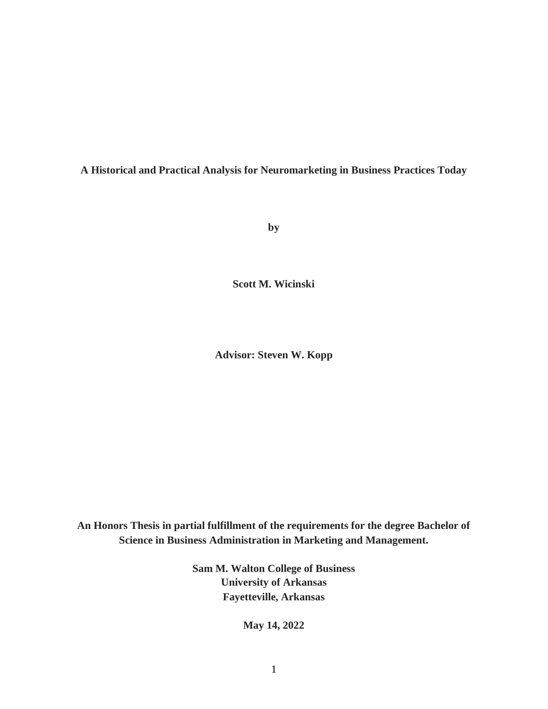**A Historical and Practical Analysis for Neuromarketing in Business Practices Today**

**by**

**Scott M. Wicinski**

**Advisor: Steven W. Kopp**

**An Honors Thesis in partial fulfillment of the requirements for the degree Bachelor of Science in Business Administration in Marketing and Management.**

> **Sam M. Walton College of Business University of Arkansas Fayetteville, Arkansas**

> > **May 14, 2022**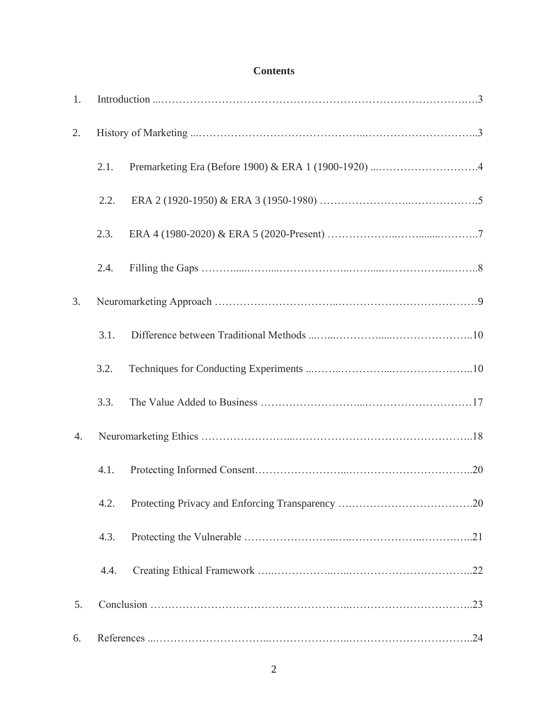## **Contents**

| 1. |      |  |
|----|------|--|
| 2. |      |  |
|    | 2.1. |  |
|    | 2.2. |  |
|    | 2.3. |  |
|    | 2.4. |  |
| 3. |      |  |
|    | 3.1. |  |
|    | 3.2. |  |
|    | 3.3. |  |
| 4. |      |  |
|    | 4.1. |  |
|    | 4.2. |  |
|    | 4.3. |  |
|    | 4.4. |  |
| 5. |      |  |
| 6. |      |  |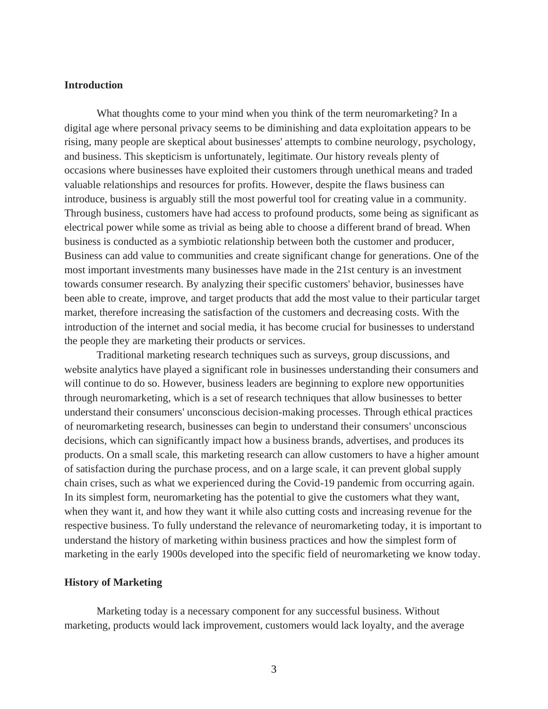#### **Introduction**

What thoughts come to your mind when you think of the term neuromarketing? In a digital age where personal privacy seems to be diminishing and data exploitation appears to be rising, many people are skeptical about businesses' attempts to combine neurology, psychology, and business. This skepticism is unfortunately, legitimate. Our history reveals plenty of occasions where businesses have exploited their customers through unethical means and traded valuable relationships and resources for profits. However, despite the flaws business can introduce, business is arguably still the most powerful tool for creating value in a community. Through business, customers have had access to profound products, some being as significant as electrical power while some as trivial as being able to choose a different brand of bread. When business is conducted as a symbiotic relationship between both the customer and producer, Business can add value to communities and create significant change for generations. One of the most important investments many businesses have made in the 21st century is an investment towards consumer research. By analyzing their specific customers' behavior, businesses have been able to create, improve, and target products that add the most value to their particular target market, therefore increasing the satisfaction of the customers and decreasing costs. With the introduction of the internet and social media, it has become crucial for businesses to understand the people they are marketing their products or services.

Traditional marketing research techniques such as surveys, group discussions, and website analytics have played a significant role in businesses understanding their consumers and will continue to do so. However, business leaders are beginning to explore new opportunities through neuromarketing, which is a set of research techniques that allow businesses to better understand their consumers' unconscious decision-making processes. Through ethical practices of neuromarketing research, businesses can begin to understand their consumers' unconscious decisions, which can significantly impact how a business brands, advertises, and produces its products. On a small scale, this marketing research can allow customers to have a higher amount of satisfaction during the purchase process, and on a large scale, it can prevent global supply chain crises, such as what we experienced during the Covid-19 pandemic from occurring again. In its simplest form, neuromarketing has the potential to give the customers what they want, when they want it, and how they want it while also cutting costs and increasing revenue for the respective business. To fully understand the relevance of neuromarketing today, it is important to understand the history of marketing within business practices and how the simplest form of marketing in the early 1900s developed into the specific field of neuromarketing we know today.

#### **History of Marketing**

Marketing today is a necessary component for any successful business. Without marketing, products would lack improvement, customers would lack loyalty, and the average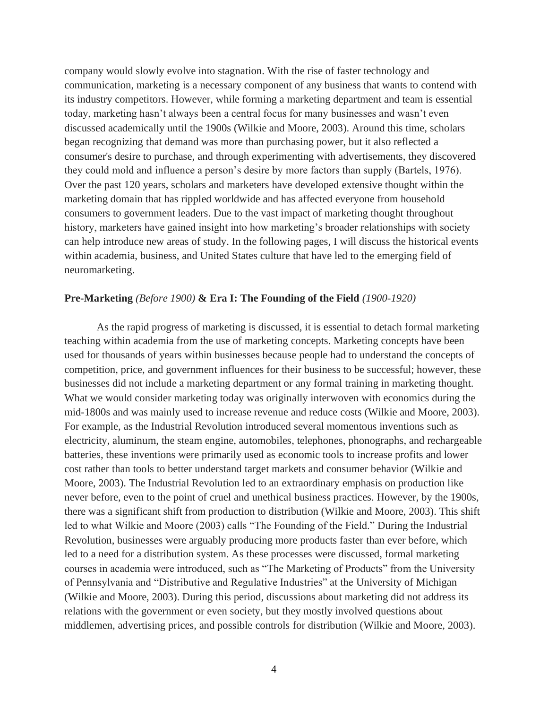company would slowly evolve into stagnation. With the rise of faster technology and communication, marketing is a necessary component of any business that wants to contend with its industry competitors. However, while forming a marketing department and team is essential today, marketing hasn't always been a central focus for many businesses and wasn't even discussed academically until the 1900s (Wilkie and Moore, 2003). Around this time, scholars began recognizing that demand was more than purchasing power, but it also reflected a consumer's desire to purchase, and through experimenting with advertisements, they discovered they could mold and influence a person's desire by more factors than supply (Bartels, 1976). Over the past 120 years, scholars and marketers have developed extensive thought within the marketing domain that has rippled worldwide and has affected everyone from household consumers to government leaders. Due to the vast impact of marketing thought throughout history, marketers have gained insight into how marketing's broader relationships with society can help introduce new areas of study. In the following pages, I will discuss the historical events within academia, business, and United States culture that have led to the emerging field of neuromarketing.

#### **Pre-Marketing** *(Before 1900)* **& Era I: The Founding of the Field** *(1900-1920)*

As the rapid progress of marketing is discussed, it is essential to detach formal marketing teaching within academia from the use of marketing concepts. Marketing concepts have been used for thousands of years within businesses because people had to understand the concepts of competition, price, and government influences for their business to be successful; however, these businesses did not include a marketing department or any formal training in marketing thought. What we would consider marketing today was originally interwoven with economics during the mid-1800s and was mainly used to increase revenue and reduce costs (Wilkie and Moore, 2003). For example, as the Industrial Revolution introduced several momentous inventions such as electricity, aluminum, the steam engine, automobiles, telephones, phonographs, and rechargeable batteries, these inventions were primarily used as economic tools to increase profits and lower cost rather than tools to better understand target markets and consumer behavior (Wilkie and Moore, 2003). The Industrial Revolution led to an extraordinary emphasis on production like never before, even to the point of cruel and unethical business practices. However, by the 1900s, there was a significant shift from production to distribution (Wilkie and Moore, 2003). This shift led to what Wilkie and Moore (2003) calls "The Founding of the Field." During the Industrial Revolution, businesses were arguably producing more products faster than ever before, which led to a need for a distribution system. As these processes were discussed, formal marketing courses in academia were introduced, such as "The Marketing of Products" from the University of Pennsylvania and "Distributive and Regulative Industries" at the University of Michigan (Wilkie and Moore, 2003). During this period, discussions about marketing did not address its relations with the government or even society, but they mostly involved questions about middlemen, advertising prices, and possible controls for distribution (Wilkie and Moore, 2003).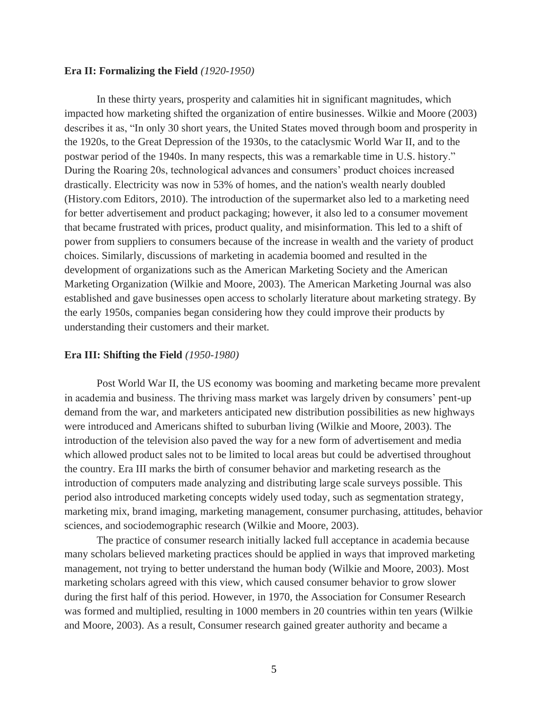#### **Era II: Formalizing the Field** *(1920-1950)*

In these thirty years, prosperity and calamities hit in significant magnitudes, which impacted how marketing shifted the organization of entire businesses. Wilkie and Moore (2003) describes it as, "In only 30 short years, the United States moved through boom and prosperity in the 1920s, to the Great Depression of the 1930s, to the cataclysmic World War II, and to the postwar period of the 1940s. In many respects, this was a remarkable time in U.S. history." During the Roaring 20s, technological advances and consumers' product choices increased drastically. Electricity was now in 53% of homes, and the nation's wealth nearly doubled (History.com Editors, 2010). The introduction of the supermarket also led to a marketing need for better advertisement and product packaging; however, it also led to a consumer movement that became frustrated with prices, product quality, and misinformation. This led to a shift of power from suppliers to consumers because of the increase in wealth and the variety of product choices. Similarly, discussions of marketing in academia boomed and resulted in the development of organizations such as the American Marketing Society and the American Marketing Organization (Wilkie and Moore, 2003). The American Marketing Journal was also established and gave businesses open access to scholarly literature about marketing strategy. By the early 1950s, companies began considering how they could improve their products by understanding their customers and their market.

#### **Era III: Shifting the Field** *(1950-1980)*

Post World War II, the US economy was booming and marketing became more prevalent in academia and business. The thriving mass market was largely driven by consumers' pent-up demand from the war, and marketers anticipated new distribution possibilities as new highways were introduced and Americans shifted to suburban living (Wilkie and Moore, 2003). The introduction of the television also paved the way for a new form of advertisement and media which allowed product sales not to be limited to local areas but could be advertised throughout the country. Era III marks the birth of consumer behavior and marketing research as the introduction of computers made analyzing and distributing large scale surveys possible. This period also introduced marketing concepts widely used today, such as segmentation strategy, marketing mix, brand imaging, marketing management, consumer purchasing, attitudes, behavior sciences, and sociodemographic research (Wilkie and Moore, 2003).

The practice of consumer research initially lacked full acceptance in academia because many scholars believed marketing practices should be applied in ways that improved marketing management, not trying to better understand the human body (Wilkie and Moore, 2003). Most marketing scholars agreed with this view, which caused consumer behavior to grow slower during the first half of this period. However, in 1970, the Association for Consumer Research was formed and multiplied, resulting in 1000 members in 20 countries within ten years (Wilkie and Moore, 2003). As a result, Consumer research gained greater authority and became a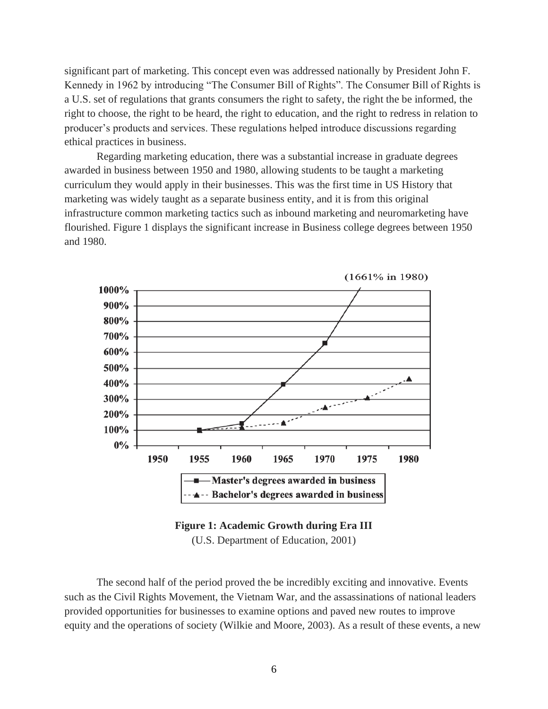significant part of marketing. This concept even was addressed nationally by President John F. Kennedy in 1962 by introducing "The Consumer Bill of Rights". The Consumer Bill of Rights is a U.S. set of regulations that grants consumers the right to safety, the right the be informed, the right to choose, the right to be heard, the right to education, and the right to redress in relation to producer's products and services. These regulations helped introduce discussions regarding ethical practices in business.

Regarding marketing education, there was a substantial increase in graduate degrees awarded in business between 1950 and 1980, allowing students to be taught a marketing curriculum they would apply in their businesses. This was the first time in US History that marketing was widely taught as a separate business entity, and it is from this original infrastructure common marketing tactics such as inbound marketing and neuromarketing have flourished. Figure 1 displays the significant increase in Business college degrees between 1950 and 1980.



 $(1661\% \text{ in } 1980)$ 

**Figure 1: Academic Growth during Era III** (U.S. Department of Education, 2001)

The second half of the period proved the be incredibly exciting and innovative. Events such as the Civil Rights Movement, the Vietnam War, and the assassinations of national leaders provided opportunities for businesses to examine options and paved new routes to improve equity and the operations of society (Wilkie and Moore, 2003). As a result of these events, a new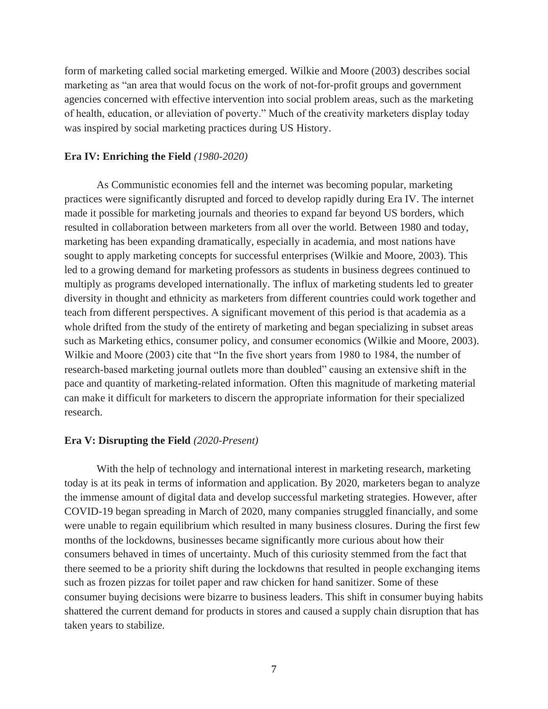form of marketing called social marketing emerged. Wilkie and Moore (2003) describes social marketing as "an area that would focus on the work of not-for-profit groups and government agencies concerned with effective intervention into social problem areas, such as the marketing of health, education, or alleviation of poverty." Much of the creativity marketers display today was inspired by social marketing practices during US History.

#### **Era IV: Enriching the Field** *(1980-2020)*

As Communistic economies fell and the internet was becoming popular, marketing practices were significantly disrupted and forced to develop rapidly during Era IV. The internet made it possible for marketing journals and theories to expand far beyond US borders, which resulted in collaboration between marketers from all over the world. Between 1980 and today, marketing has been expanding dramatically, especially in academia, and most nations have sought to apply marketing concepts for successful enterprises (Wilkie and Moore, 2003). This led to a growing demand for marketing professors as students in business degrees continued to multiply as programs developed internationally. The influx of marketing students led to greater diversity in thought and ethnicity as marketers from different countries could work together and teach from different perspectives. A significant movement of this period is that academia as a whole drifted from the study of the entirety of marketing and began specializing in subset areas such as Marketing ethics, consumer policy, and consumer economics (Wilkie and Moore, 2003). Wilkie and Moore (2003) cite that "In the five short years from 1980 to 1984, the number of research-based marketing journal outlets more than doubled" causing an extensive shift in the pace and quantity of marketing-related information. Often this magnitude of marketing material can make it difficult for marketers to discern the appropriate information for their specialized research.

#### **Era V: Disrupting the Field** *(2020-Present)*

With the help of technology and international interest in marketing research, marketing today is at its peak in terms of information and application. By 2020, marketers began to analyze the immense amount of digital data and develop successful marketing strategies. However, after COVID-19 began spreading in March of 2020, many companies struggled financially, and some were unable to regain equilibrium which resulted in many business closures. During the first few months of the lockdowns, businesses became significantly more curious about how their consumers behaved in times of uncertainty. Much of this curiosity stemmed from the fact that there seemed to be a priority shift during the lockdowns that resulted in people exchanging items such as frozen pizzas for toilet paper and raw chicken for hand sanitizer. Some of these consumer buying decisions were bizarre to business leaders. This shift in consumer buying habits shattered the current demand for products in stores and caused a supply chain disruption that has taken years to stabilize.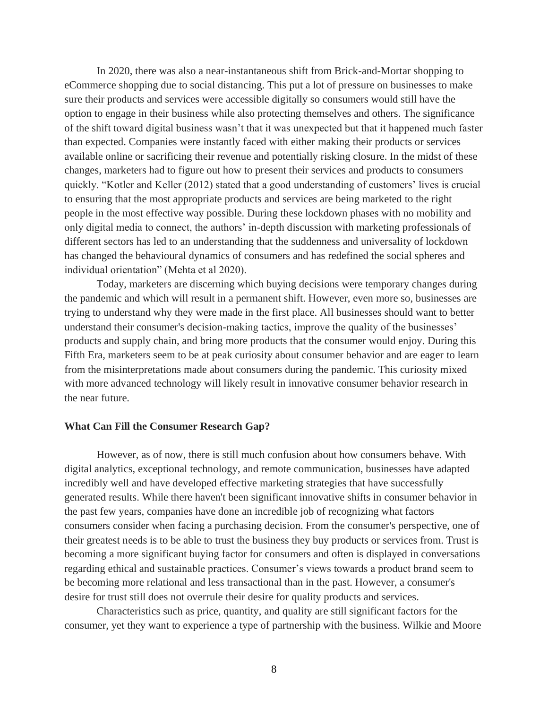In 2020, there was also a near-instantaneous shift from Brick-and-Mortar shopping to eCommerce shopping due to social distancing. This put a lot of pressure on businesses to make sure their products and services were accessible digitally so consumers would still have the option to engage in their business while also protecting themselves and others. The significance of the shift toward digital business wasn't that it was unexpected but that it happened much faster than expected. Companies were instantly faced with either making their products or services available online or sacrificing their revenue and potentially risking closure. In the midst of these changes, marketers had to figure out how to present their services and products to consumers quickly. "Kotler and Keller (2012) stated that a good understanding of customers' lives is crucial to ensuring that the most appropriate products and services are being marketed to the right people in the most effective way possible. During these lockdown phases with no mobility and only digital media to connect, the authors' in-depth discussion with marketing professionals of different sectors has led to an understanding that the suddenness and universality of lockdown has changed the behavioural dynamics of consumers and has redefined the social spheres and individual orientation" (Mehta et al 2020).

Today, marketers are discerning which buying decisions were temporary changes during the pandemic and which will result in a permanent shift. However, even more so, businesses are trying to understand why they were made in the first place. All businesses should want to better understand their consumer's decision-making tactics, improve the quality of the businesses' products and supply chain, and bring more products that the consumer would enjoy. During this Fifth Era, marketers seem to be at peak curiosity about consumer behavior and are eager to learn from the misinterpretations made about consumers during the pandemic. This curiosity mixed with more advanced technology will likely result in innovative consumer behavior research in the near future.

#### **What Can Fill the Consumer Research Gap?**

However, as of now, there is still much confusion about how consumers behave. With digital analytics, exceptional technology, and remote communication, businesses have adapted incredibly well and have developed effective marketing strategies that have successfully generated results. While there haven't been significant innovative shifts in consumer behavior in the past few years, companies have done an incredible job of recognizing what factors consumers consider when facing a purchasing decision. From the consumer's perspective, one of their greatest needs is to be able to trust the business they buy products or services from. Trust is becoming a more significant buying factor for consumers and often is displayed in conversations regarding ethical and sustainable practices. Consumer's views towards a product brand seem to be becoming more relational and less transactional than in the past. However, a consumer's desire for trust still does not overrule their desire for quality products and services.

Characteristics such as price, quantity, and quality are still significant factors for the consumer, yet they want to experience a type of partnership with the business. Wilkie and Moore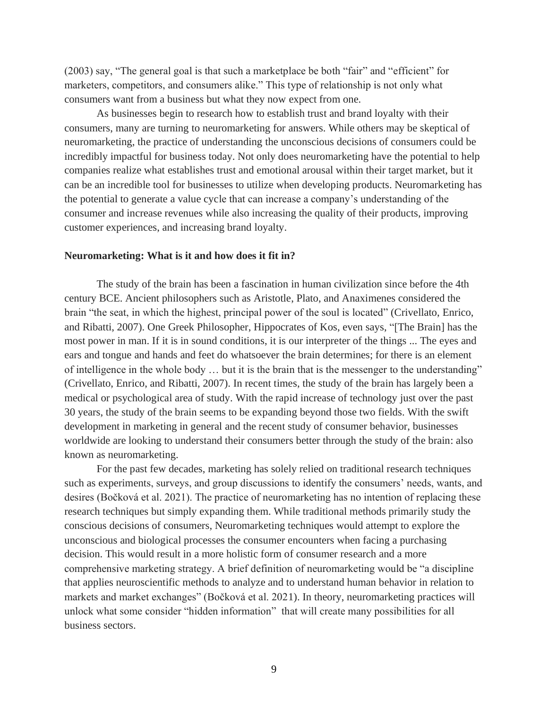(2003) say, "The general goal is that such a marketplace be both "fair" and "efficient" for marketers, competitors, and consumers alike." This type of relationship is not only what consumers want from a business but what they now expect from one.

As businesses begin to research how to establish trust and brand loyalty with their consumers, many are turning to neuromarketing for answers. While others may be skeptical of neuromarketing, the practice of understanding the unconscious decisions of consumers could be incredibly impactful for business today. Not only does neuromarketing have the potential to help companies realize what establishes trust and emotional arousal within their target market, but it can be an incredible tool for businesses to utilize when developing products. Neuromarketing has the potential to generate a value cycle that can increase a company's understanding of the consumer and increase revenues while also increasing the quality of their products, improving customer experiences, and increasing brand loyalty.

#### **Neuromarketing: What is it and how does it fit in?**

The study of the brain has been a fascination in human civilization since before the 4th century BCE. Ancient philosophers such as Aristotle, Plato, and Anaximenes considered the brain "the seat, in which the highest, principal power of the soul is located" (Crivellato, Enrico, and Ribatti, 2007). One Greek Philosopher, Hippocrates of Kos, even says, "[The Brain] has the most power in man. If it is in sound conditions, it is our interpreter of the things ... The eyes and ears and tongue and hands and feet do whatsoever the brain determines; for there is an element of intelligence in the whole body … but it is the brain that is the messenger to the understanding" (Crivellato, Enrico, and Ribatti, 2007). In recent times, the study of the brain has largely been a medical or psychological area of study. With the rapid increase of technology just over the past 30 years, the study of the brain seems to be expanding beyond those two fields. With the swift development in marketing in general and the recent study of consumer behavior, businesses worldwide are looking to understand their consumers better through the study of the brain: also known as neuromarketing.

For the past few decades, marketing has solely relied on traditional research techniques such as experiments, surveys, and group discussions to identify the consumers' needs, wants, and desires (Bočková et al. 2021). The practice of neuromarketing has no intention of replacing these research techniques but simply expanding them. While traditional methods primarily study the conscious decisions of consumers, Neuromarketing techniques would attempt to explore the unconscious and biological processes the consumer encounters when facing a purchasing decision. This would result in a more holistic form of consumer research and a more comprehensive marketing strategy. A brief definition of neuromarketing would be "a discipline that applies neuroscientific methods to analyze and to understand human behavior in relation to markets and market exchanges" (Bočková et al. 2021). In theory, neuromarketing practices will unlock what some consider "hidden information" that will create many possibilities for all business sectors.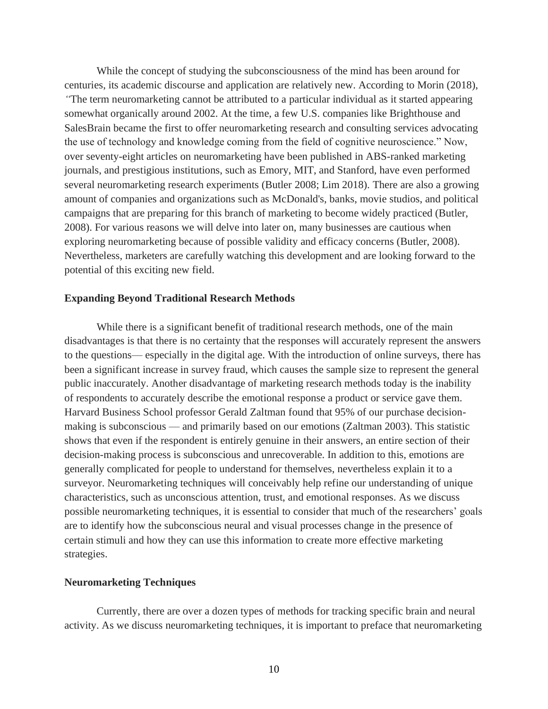While the concept of studying the subconsciousness of the mind has been around for centuries, its academic discourse and application are relatively new. According to Morin (2018), *"*The term neuromarketing cannot be attributed to a particular individual as it started appearing somewhat organically around 2002. At the time, a few U.S. companies like Brighthouse and SalesBrain became the first to offer neuromarketing research and consulting services advocating the use of technology and knowledge coming from the field of cognitive neuroscience." Now, over seventy-eight articles on neuromarketing have been published in ABS-ranked marketing journals, and prestigious institutions, such as Emory, MIT, and Stanford, have even performed several neuromarketing research experiments (Butler 2008; Lim 2018). There are also a growing amount of companies and organizations such as McDonald's, banks, movie studios, and political campaigns that are preparing for this branch of marketing to become widely practiced (Butler, 2008). For various reasons we will delve into later on, many businesses are cautious when exploring neuromarketing because of possible validity and efficacy concerns (Butler, 2008). Nevertheless, marketers are carefully watching this development and are looking forward to the potential of this exciting new field.

#### **Expanding Beyond Traditional Research Methods**

While there is a significant benefit of traditional research methods, one of the main disadvantages is that there is no certainty that the responses will accurately represent the answers to the questions— especially in the digital age. With the introduction of online surveys, there has been a significant increase in survey fraud, which causes the sample size to represent the general public inaccurately. Another disadvantage of marketing research methods today is the inability of respondents to accurately describe the emotional response a product or service gave them. Harvard Business School professor Gerald Zaltman found that 95% of our purchase decisionmaking is subconscious — and primarily based on our emotions (Zaltman 2003). This statistic shows that even if the respondent is entirely genuine in their answers, an entire section of their decision-making process is subconscious and unrecoverable. In addition to this, emotions are generally complicated for people to understand for themselves, nevertheless explain it to a surveyor. Neuromarketing techniques will conceivably help refine our understanding of unique characteristics, such as unconscious attention, trust, and emotional responses. As we discuss possible neuromarketing techniques, it is essential to consider that much of the researchers' goals are to identify how the subconscious neural and visual processes change in the presence of certain stimuli and how they can use this information to create more effective marketing strategies.

#### **Neuromarketing Techniques**

Currently, there are over a dozen types of methods for tracking specific brain and neural activity. As we discuss neuromarketing techniques, it is important to preface that neuromarketing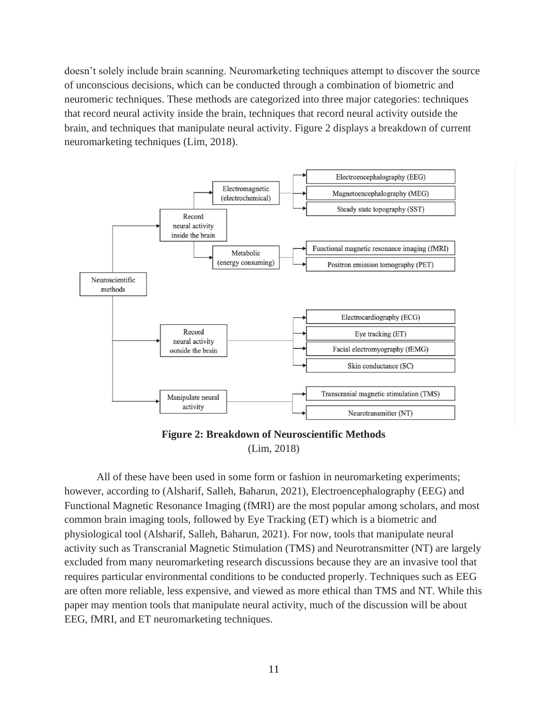doesn't solely include brain scanning. Neuromarketing techniques attempt to discover the source of unconscious decisions, which can be conducted through a combination of biometric and neuromeric techniques. These methods are categorized into three major categories: techniques that record neural activity inside the brain, techniques that record neural activity outside the brain, and techniques that manipulate neural activity. Figure 2 displays a breakdown of current neuromarketing techniques (Lim, 2018).



**Figure 2: Breakdown of Neuroscientific Methods** (Lim, 2018)

All of these have been used in some form or fashion in neuromarketing experiments; however, according to (Alsharif, Salleh, Baharun, 2021), Electroencephalography (EEG) and Functional Magnetic Resonance Imaging (fMRI) are the most popular among scholars, and most common brain imaging tools, followed by Eye Tracking (ET) which is a biometric and physiological tool (Alsharif, Salleh, Baharun, 2021). For now, tools that manipulate neural activity such as Transcranial Magnetic Stimulation (TMS) and Neurotransmitter (NT) are largely excluded from many neuromarketing research discussions because they are an invasive tool that requires particular environmental conditions to be conducted properly. Techniques such as EEG are often more reliable, less expensive, and viewed as more ethical than TMS and NT. While this paper may mention tools that manipulate neural activity, much of the discussion will be about EEG, fMRI, and ET neuromarketing techniques.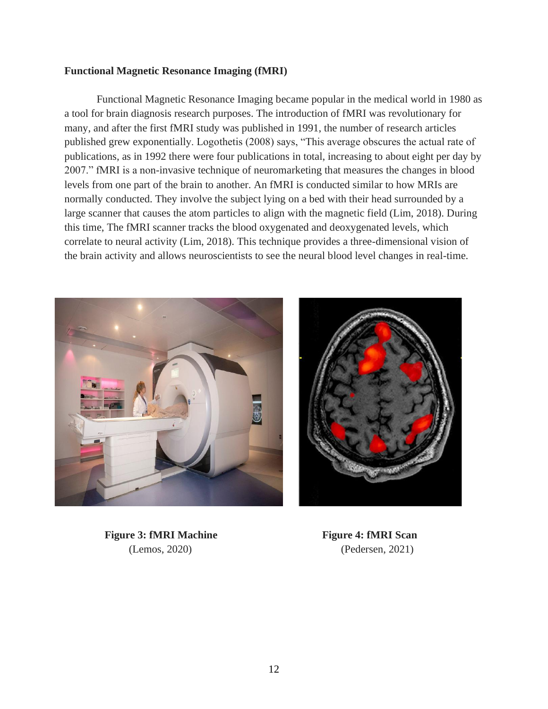#### **Functional Magnetic Resonance Imaging (fMRI)**

Functional Magnetic Resonance Imaging became popular in the medical world in 1980 as a tool for brain diagnosis research purposes. The introduction of fMRI was revolutionary for many, and after the first fMRI study was published in 1991, the number of research articles published grew exponentially. Logothetis (2008) says, "This average obscures the actual rate of publications, as in 1992 there were four publications in total, increasing to about eight per day by 2007." fMRI is a non-invasive technique of neuromarketing that measures the changes in blood levels from one part of the brain to another. An fMRI is conducted similar to how MRIs are normally conducted. They involve the subject lying on a bed with their head surrounded by a large scanner that causes the atom particles to align with the magnetic field (Lim, 2018). During this time, The fMRI scanner tracks the blood oxygenated and deoxygenated levels, which correlate to neural activity (Lim, 2018). This technique provides a three-dimensional vision of the brain activity and allows neuroscientists to see the neural blood level changes in real-time.



**Figure 3: fMRI Machine Figure 4: fMRI Scan** 

(Lemos, 2020)(Pedersen, 2021)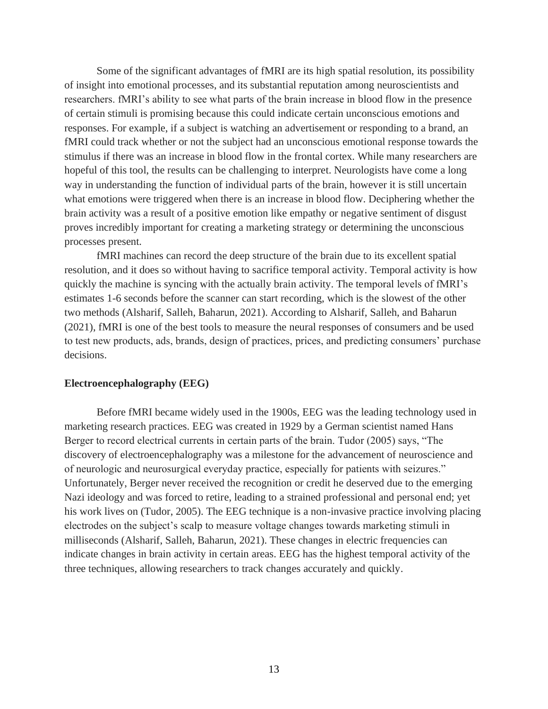Some of the significant advantages of fMRI are its high spatial resolution, its possibility of insight into emotional processes, and its substantial reputation among neuroscientists and researchers. fMRI's ability to see what parts of the brain increase in blood flow in the presence of certain stimuli is promising because this could indicate certain unconscious emotions and responses. For example, if a subject is watching an advertisement or responding to a brand, an fMRI could track whether or not the subject had an unconscious emotional response towards the stimulus if there was an increase in blood flow in the frontal cortex. While many researchers are hopeful of this tool, the results can be challenging to interpret. Neurologists have come a long way in understanding the function of individual parts of the brain, however it is still uncertain what emotions were triggered when there is an increase in blood flow. Deciphering whether the brain activity was a result of a positive emotion like empathy or negative sentiment of disgust proves incredibly important for creating a marketing strategy or determining the unconscious processes present.

fMRI machines can record the deep structure of the brain due to its excellent spatial resolution, and it does so without having to sacrifice temporal activity. Temporal activity is how quickly the machine is syncing with the actually brain activity. The temporal levels of fMRI's estimates 1-6 seconds before the scanner can start recording, which is the slowest of the other two methods (Alsharif, Salleh, Baharun, 2021). According to Alsharif, Salleh, and Baharun (2021), fMRI is one of the best tools to measure the neural responses of consumers and be used to test new products, ads, brands, design of practices, prices, and predicting consumers' purchase decisions.

#### **Electroencephalography (EEG)**

Before fMRI became widely used in the 1900s, EEG was the leading technology used in marketing research practices. EEG was created in 1929 by a German scientist named Hans Berger to record electrical currents in certain parts of the brain. Tudor (2005) says, "The discovery of electroencephalography was a milestone for the advancement of neuroscience and of neurologic and neurosurgical everyday practice, especially for patients with seizures." Unfortunately, Berger never received the recognition or credit he deserved due to the emerging Nazi ideology and was forced to retire, leading to a strained professional and personal end; yet his work lives on (Tudor, 2005). The EEG technique is a non-invasive practice involving placing electrodes on the subject's scalp to measure voltage changes towards marketing stimuli in milliseconds (Alsharif, Salleh, Baharun, 2021). These changes in electric frequencies can indicate changes in brain activity in certain areas. EEG has the highest temporal activity of the three techniques, allowing researchers to track changes accurately and quickly.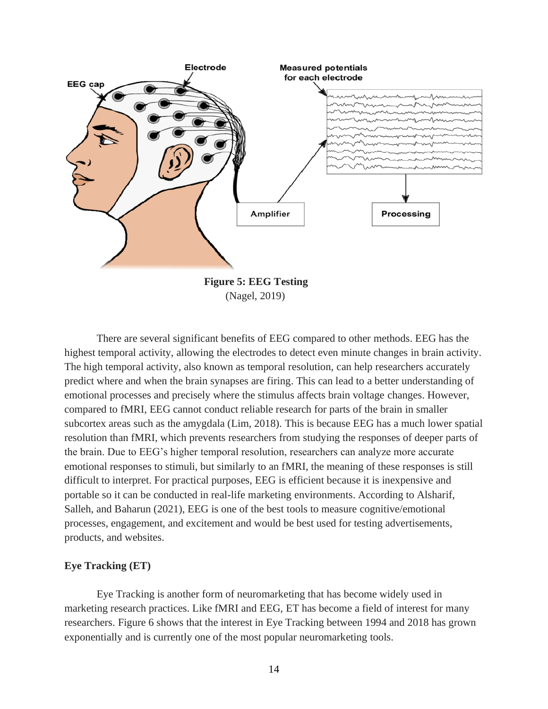

There are several significant benefits of EEG compared to other methods. EEG has the highest temporal activity, allowing the electrodes to detect even minute changes in brain activity. The high temporal activity, also known as temporal resolution, can help researchers accurately predict where and when the brain synapses are firing. This can lead to a better understanding of emotional processes and precisely where the stimulus affects brain voltage changes. However, compared to fMRI, EEG cannot conduct reliable research for parts of the brain in smaller subcortex areas such as the amygdala (Lim, 2018). This is because EEG has a much lower spatial resolution than fMRI, which prevents researchers from studying the responses of deeper parts of the brain. Due to EEG's higher temporal resolution, researchers can analyze more accurate emotional responses to stimuli, but similarly to an fMRI, the meaning of these responses is still difficult to interpret. For practical purposes, EEG is efficient because it is inexpensive and portable so it can be conducted in real-life marketing environments. According to Alsharif, Salleh, and Baharun (2021), EEG is one of the best tools to measure cognitive/emotional processes, engagement, and excitement and would be best used for testing advertisements, products, and websites.

#### **Eye Tracking (ET)**

Eye Tracking is another form of neuromarketing that has become widely used in marketing research practices. Like fMRI and EEG, ET has become a field of interest for many researchers. Figure 6 shows that the interest in Eye Tracking between 1994 and 2018 has grown exponentially and is currently one of the most popular neuromarketing tools.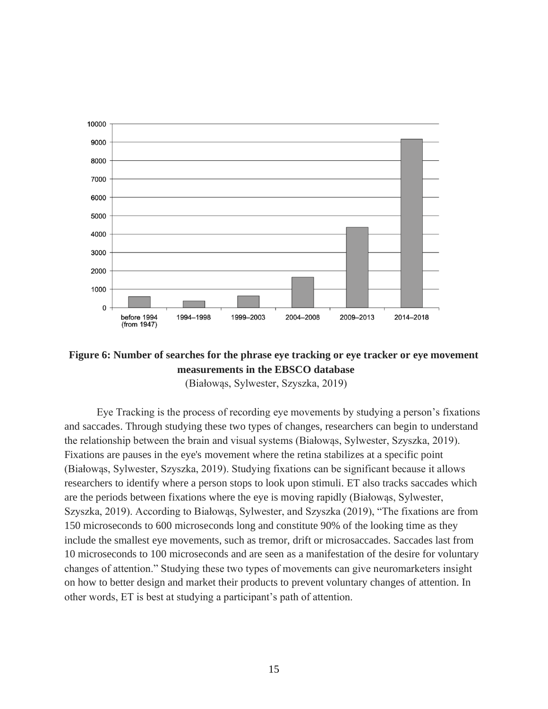

### **Figure 6: Number of searches for the phrase eye tracking or eye tracker or eye movement measurements in the EBSCO database**

(Białowąs, Sylwester, Szyszka, 2019)

Eye Tracking is the process of recording eye movements by studying a person's fixations and saccades. Through studying these two types of changes, researchers can begin to understand the relationship between the brain and visual systems (Białowąs, Sylwester, Szyszka, 2019). Fixations are pauses in the eye's movement where the retina stabilizes at a specific point (Białowąs, Sylwester, Szyszka, 2019). Studying fixations can be significant because it allows researchers to identify where a person stops to look upon stimuli. ET also tracks saccades which are the periods between fixations where the eye is moving rapidly (Białowąs, Sylwester, Szyszka, 2019). According to Białowąs, Sylwester, and Szyszka (2019), "The fixations are from 150 microseconds to 600 microseconds long and constitute 90% of the looking time as they include the smallest eye movements, such as tremor, drift or microsaccades. Saccades last from 10 microseconds to 100 microseconds and are seen as a manifestation of the desire for voluntary changes of attention." Studying these two types of movements can give neuromarketers insight on how to better design and market their products to prevent voluntary changes of attention. In other words, ET is best at studying a participant's path of attention.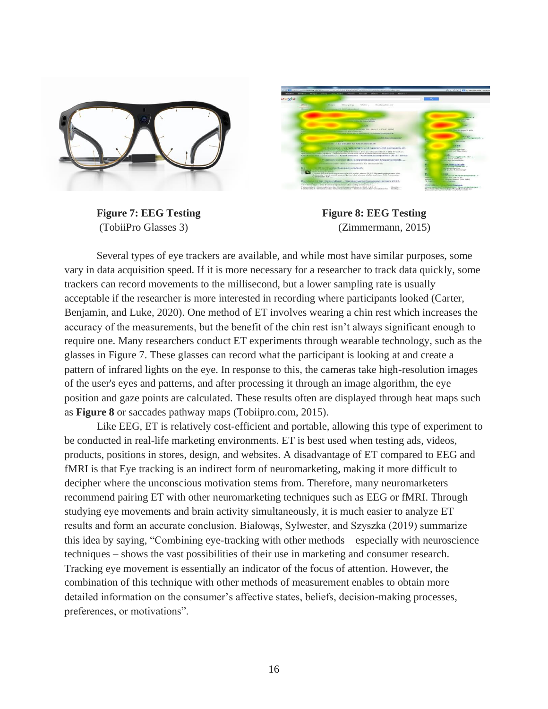



**Figure 7: EEG Testing Figure 8: EEG Testing** (TobiiPro Glasses 3) (Zimmermann, 2015)

Several types of eye trackers are available, and while most have similar purposes, some vary in data acquisition speed. If it is more necessary for a researcher to track data quickly, some trackers can record movements to the millisecond, but a lower sampling rate is usually acceptable if the researcher is more interested in recording where participants looked (Carter, Benjamin, and Luke, 2020). One method of ET involves wearing a chin rest which increases the accuracy of the measurements, but the benefit of the chin rest isn't always significant enough to require one. Many researchers conduct ET experiments through wearable technology, such as the glasses in Figure 7. These glasses can record what the participant is looking at and create a pattern of infrared lights on the eye. In response to this, the cameras take high-resolution images of the user's eyes and patterns, and after processing it through an image algorithm, the eye position and gaze points are calculated. These results often are displayed through heat maps such as **Figure 8** or saccades pathway maps (Tobiipro.com, 2015).

Like EEG, ET is relatively cost-efficient and portable, allowing this type of experiment to be conducted in real-life marketing environments. ET is best used when testing ads, videos, products, positions in stores, design, and websites. A disadvantage of ET compared to EEG and fMRI is that Eye tracking is an indirect form of neuromarketing, making it more difficult to decipher where the unconscious motivation stems from. Therefore, many neuromarketers recommend pairing ET with other neuromarketing techniques such as EEG or fMRI. Through studying eye movements and brain activity simultaneously, it is much easier to analyze ET results and form an accurate conclusion. Białowąs, Sylwester, and Szyszka (2019) summarize this idea by saying, "Combining eye-tracking with other methods – especially with neuroscience techniques – shows the vast possibilities of their use in marketing and consumer research. Tracking eye movement is essentially an indicator of the focus of attention. However, the combination of this technique with other methods of measurement enables to obtain more detailed information on the consumer's affective states, beliefs, decision-making processes, preferences, or motivations".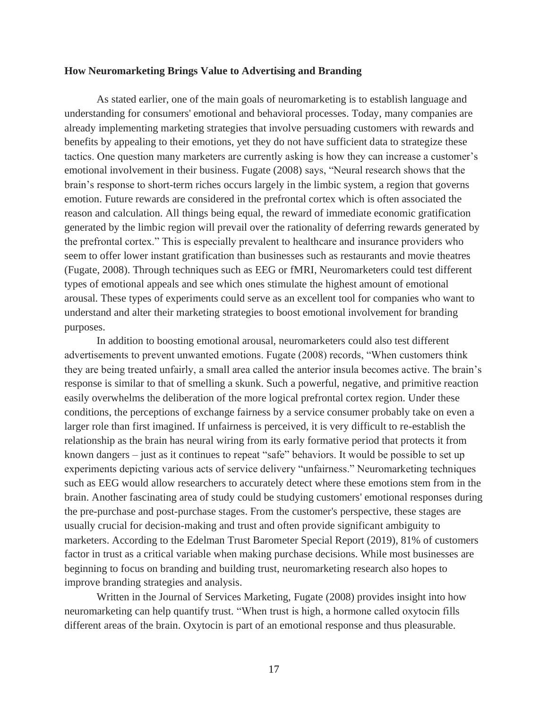#### **How Neuromarketing Brings Value to Advertising and Branding**

As stated earlier, one of the main goals of neuromarketing is to establish language and understanding for consumers' emotional and behavioral processes. Today, many companies are already implementing marketing strategies that involve persuading customers with rewards and benefits by appealing to their emotions, yet they do not have sufficient data to strategize these tactics. One question many marketers are currently asking is how they can increase a customer's emotional involvement in their business. Fugate (2008) says, "Neural research shows that the brain's response to short-term riches occurs largely in the limbic system, a region that governs emotion. Future rewards are considered in the prefrontal cortex which is often associated the reason and calculation. All things being equal, the reward of immediate economic gratification generated by the limbic region will prevail over the rationality of deferring rewards generated by the prefrontal cortex." This is especially prevalent to healthcare and insurance providers who seem to offer lower instant gratification than businesses such as restaurants and movie theatres (Fugate, 2008). Through techniques such as EEG or fMRI, Neuromarketers could test different types of emotional appeals and see which ones stimulate the highest amount of emotional arousal. These types of experiments could serve as an excellent tool for companies who want to understand and alter their marketing strategies to boost emotional involvement for branding purposes.

In addition to boosting emotional arousal, neuromarketers could also test different advertisements to prevent unwanted emotions. Fugate (2008) records, "When customers think they are being treated unfairly, a small area called the anterior insula becomes active. The brain's response is similar to that of smelling a skunk. Such a powerful, negative, and primitive reaction easily overwhelms the deliberation of the more logical prefrontal cortex region. Under these conditions, the perceptions of exchange fairness by a service consumer probably take on even a larger role than first imagined. If unfairness is perceived, it is very difficult to re-establish the relationship as the brain has neural wiring from its early formative period that protects it from known dangers – just as it continues to repeat "safe" behaviors. It would be possible to set up experiments depicting various acts of service delivery "unfairness." Neuromarketing techniques such as EEG would allow researchers to accurately detect where these emotions stem from in the brain. Another fascinating area of study could be studying customers' emotional responses during the pre-purchase and post-purchase stages. From the customer's perspective, these stages are usually crucial for decision-making and trust and often provide significant ambiguity to marketers. According to the Edelman Trust Barometer Special Report (2019), 81% of customers factor in trust as a critical variable when making purchase decisions. While most businesses are beginning to focus on branding and building trust, neuromarketing research also hopes to improve branding strategies and analysis.

Written in the Journal of Services Marketing, Fugate (2008) provides insight into how neuromarketing can help quantify trust. "When trust is high, a hormone called oxytocin fills different areas of the brain. Oxytocin is part of an emotional response and thus pleasurable.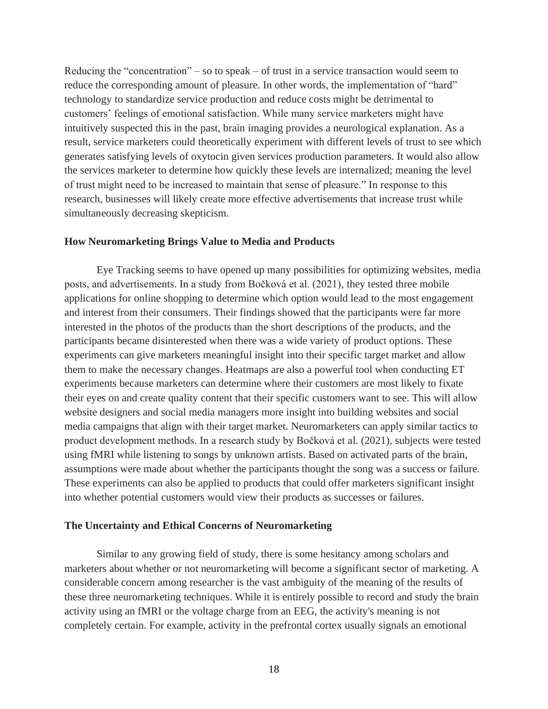Reducing the "concentration" – so to speak – of trust in a service transaction would seem to reduce the corresponding amount of pleasure. In other words, the implementation of "hard" technology to standardize service production and reduce costs might be detrimental to customers' feelings of emotional satisfaction. While many service marketers might have intuitively suspected this in the past, brain imaging provides a neurological explanation. As a result, service marketers could theoretically experiment with different levels of trust to see which generates satisfying levels of oxytocin given services production parameters. It would also allow the services marketer to determine how quickly these levels are internalized; meaning the level of trust might need to be increased to maintain that sense of pleasure." In response to this research, businesses will likely create more effective advertisements that increase trust while simultaneously decreasing skepticism.

#### **How Neuromarketing Brings Value to Media and Products**

Eye Tracking seems to have opened up many possibilities for optimizing websites, media posts, and advertisements. In a study from Bočková et al. (2021), they tested three mobile applications for online shopping to determine which option would lead to the most engagement and interest from their consumers. Their findings showed that the participants were far more interested in the photos of the products than the short descriptions of the products, and the participants became disinterested when there was a wide variety of product options. These experiments can give marketers meaningful insight into their specific target market and allow them to make the necessary changes. Heatmaps are also a powerful tool when conducting ET experiments because marketers can determine where their customers are most likely to fixate their eyes on and create quality content that their specific customers want to see. This will allow website designers and social media managers more insight into building websites and social media campaigns that align with their target market. Neuromarketers can apply similar tactics to product development methods. In a research study by Bočková et al. (2021), subjects were tested using fMRI while listening to songs by unknown artists. Based on activated parts of the brain, assumptions were made about whether the participants thought the song was a success or failure. These experiments can also be applied to products that could offer marketers significant insight into whether potential customers would view their products as successes or failures.

#### **The Uncertainty and Ethical Concerns of Neuromarketing**

Similar to any growing field of study, there is some hesitancy among scholars and marketers about whether or not neuromarketing will become a significant sector of marketing. A considerable concern among researcher is the vast ambiguity of the meaning of the results of these three neuromarketing techniques. While it is entirely possible to record and study the brain activity using an fMRI or the voltage charge from an EEG, the activity's meaning is not completely certain. For example, activity in the prefrontal cortex usually signals an emotional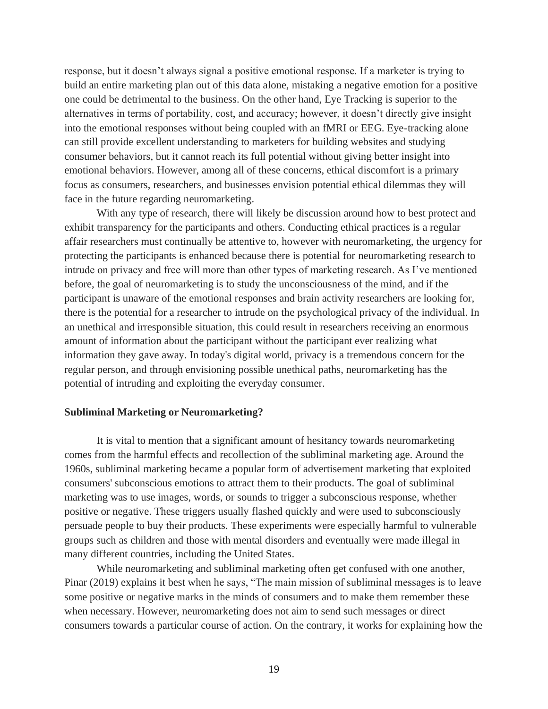response, but it doesn't always signal a positive emotional response. If a marketer is trying to build an entire marketing plan out of this data alone, mistaking a negative emotion for a positive one could be detrimental to the business. On the other hand, Eye Tracking is superior to the alternatives in terms of portability, cost, and accuracy; however, it doesn't directly give insight into the emotional responses without being coupled with an fMRI or EEG. Eye-tracking alone can still provide excellent understanding to marketers for building websites and studying consumer behaviors, but it cannot reach its full potential without giving better insight into emotional behaviors. However, among all of these concerns, ethical discomfort is a primary focus as consumers, researchers, and businesses envision potential ethical dilemmas they will face in the future regarding neuromarketing.

With any type of research, there will likely be discussion around how to best protect and exhibit transparency for the participants and others. Conducting ethical practices is a regular affair researchers must continually be attentive to, however with neuromarketing, the urgency for protecting the participants is enhanced because there is potential for neuromarketing research to intrude on privacy and free will more than other types of marketing research. As I've mentioned before, the goal of neuromarketing is to study the unconsciousness of the mind, and if the participant is unaware of the emotional responses and brain activity researchers are looking for, there is the potential for a researcher to intrude on the psychological privacy of the individual. In an unethical and irresponsible situation, this could result in researchers receiving an enormous amount of information about the participant without the participant ever realizing what information they gave away. In today's digital world, privacy is a tremendous concern for the regular person, and through envisioning possible unethical paths, neuromarketing has the potential of intruding and exploiting the everyday consumer.

#### **Subliminal Marketing or Neuromarketing?**

It is vital to mention that a significant amount of hesitancy towards neuromarketing comes from the harmful effects and recollection of the subliminal marketing age. Around the 1960s, subliminal marketing became a popular form of advertisement marketing that exploited consumers' subconscious emotions to attract them to their products. The goal of subliminal marketing was to use images, words, or sounds to trigger a subconscious response, whether positive or negative. These triggers usually flashed quickly and were used to subconsciously persuade people to buy their products. These experiments were especially harmful to vulnerable groups such as children and those with mental disorders and eventually were made illegal in many different countries, including the United States.

While neuromarketing and subliminal marketing often get confused with one another, Pinar (2019) explains it best when he says, "The main mission of subliminal messages is to leave some positive or negative marks in the minds of consumers and to make them remember these when necessary. However, neuromarketing does not aim to send such messages or direct consumers towards a particular course of action. On the contrary, it works for explaining how the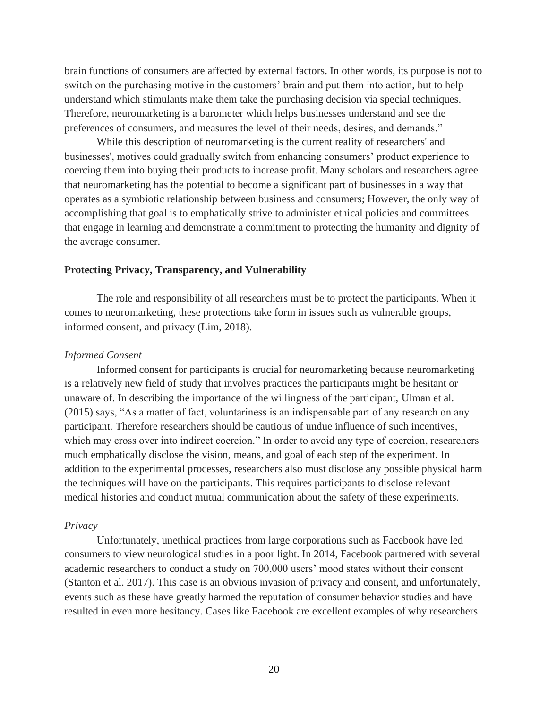brain functions of consumers are affected by external factors. In other words, its purpose is not to switch on the purchasing motive in the customers' brain and put them into action, but to help understand which stimulants make them take the purchasing decision via special techniques. Therefore, neuromarketing is a barometer which helps businesses understand and see the preferences of consumers, and measures the level of their needs, desires, and demands."

While this description of neuromarketing is the current reality of researchers' and businesses', motives could gradually switch from enhancing consumers' product experience to coercing them into buying their products to increase profit. Many scholars and researchers agree that neuromarketing has the potential to become a significant part of businesses in a way that operates as a symbiotic relationship between business and consumers; However, the only way of accomplishing that goal is to emphatically strive to administer ethical policies and committees that engage in learning and demonstrate a commitment to protecting the humanity and dignity of the average consumer.

#### **Protecting Privacy, Transparency, and Vulnerability**

The role and responsibility of all researchers must be to protect the participants. When it comes to neuromarketing, these protections take form in issues such as vulnerable groups, informed consent, and privacy (Lim, 2018).

#### *Informed Consent*

Informed consent for participants is crucial for neuromarketing because neuromarketing is a relatively new field of study that involves practices the participants might be hesitant or unaware of. In describing the importance of the willingness of the participant, Ulman et al. (2015) says, "As a matter of fact, voluntariness is an indispensable part of any research on any participant. Therefore researchers should be cautious of undue influence of such incentives, which may cross over into indirect coercion." In order to avoid any type of coercion, researchers much emphatically disclose the vision, means, and goal of each step of the experiment. In addition to the experimental processes, researchers also must disclose any possible physical harm the techniques will have on the participants. This requires participants to disclose relevant medical histories and conduct mutual communication about the safety of these experiments.

#### *Privacy*

Unfortunately, unethical practices from large corporations such as Facebook have led consumers to view neurological studies in a poor light. In 2014, Facebook partnered with several academic researchers to conduct a study on 700,000 users' mood states without their consent (Stanton et al. 2017). This case is an obvious invasion of privacy and consent, and unfortunately, events such as these have greatly harmed the reputation of consumer behavior studies and have resulted in even more hesitancy. Cases like Facebook are excellent examples of why researchers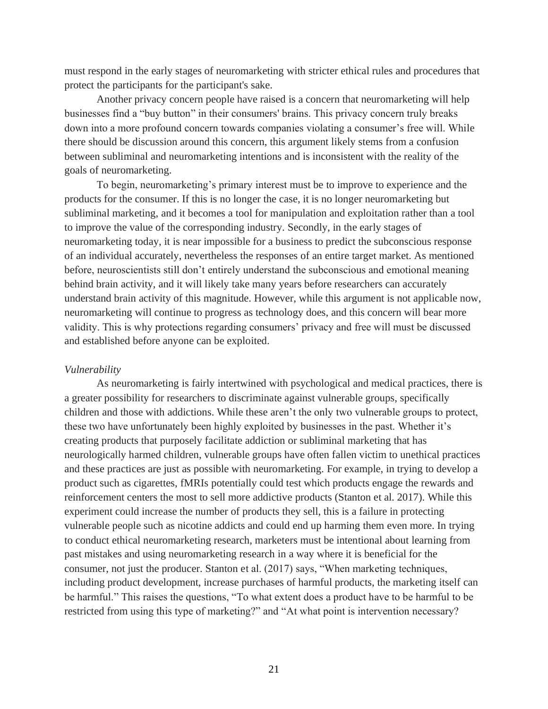must respond in the early stages of neuromarketing with stricter ethical rules and procedures that protect the participants for the participant's sake.

Another privacy concern people have raised is a concern that neuromarketing will help businesses find a "buy button" in their consumers' brains. This privacy concern truly breaks down into a more profound concern towards companies violating a consumer's free will. While there should be discussion around this concern, this argument likely stems from a confusion between subliminal and neuromarketing intentions and is inconsistent with the reality of the goals of neuromarketing.

To begin, neuromarketing's primary interest must be to improve to experience and the products for the consumer. If this is no longer the case, it is no longer neuromarketing but subliminal marketing, and it becomes a tool for manipulation and exploitation rather than a tool to improve the value of the corresponding industry. Secondly, in the early stages of neuromarketing today, it is near impossible for a business to predict the subconscious response of an individual accurately, nevertheless the responses of an entire target market. As mentioned before, neuroscientists still don't entirely understand the subconscious and emotional meaning behind brain activity, and it will likely take many years before researchers can accurately understand brain activity of this magnitude. However, while this argument is not applicable now, neuromarketing will continue to progress as technology does, and this concern will bear more validity. This is why protections regarding consumers' privacy and free will must be discussed and established before anyone can be exploited.

#### *Vulnerability*

As neuromarketing is fairly intertwined with psychological and medical practices, there is a greater possibility for researchers to discriminate against vulnerable groups, specifically children and those with addictions. While these aren't the only two vulnerable groups to protect, these two have unfortunately been highly exploited by businesses in the past. Whether it's creating products that purposely facilitate addiction or subliminal marketing that has neurologically harmed children, vulnerable groups have often fallen victim to unethical practices and these practices are just as possible with neuromarketing. For example, in trying to develop a product such as cigarettes, fMRIs potentially could test which products engage the rewards and reinforcement centers the most to sell more addictive products (Stanton et al. 2017). While this experiment could increase the number of products they sell, this is a failure in protecting vulnerable people such as nicotine addicts and could end up harming them even more. In trying to conduct ethical neuromarketing research, marketers must be intentional about learning from past mistakes and using neuromarketing research in a way where it is beneficial for the consumer, not just the producer. Stanton et al. (2017) says, "When marketing techniques, including product development, increase purchases of harmful products, the marketing itself can be harmful." This raises the questions, "To what extent does a product have to be harmful to be restricted from using this type of marketing?" and "At what point is intervention necessary?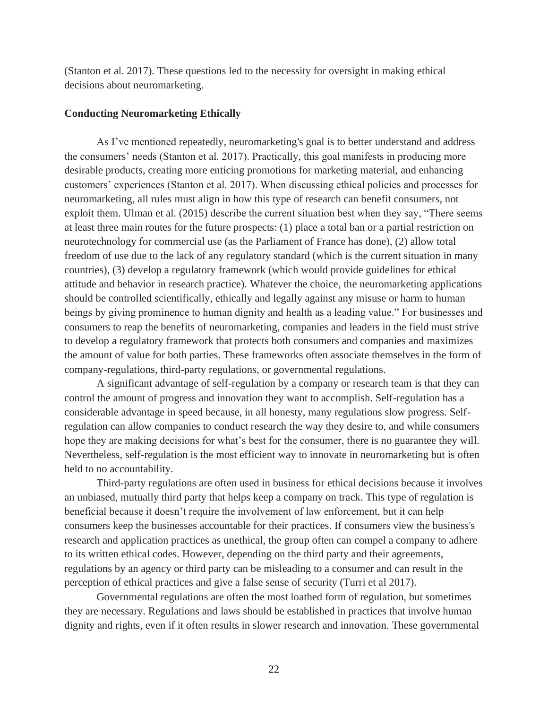(Stanton et al. 2017). These questions led to the necessity for oversight in making ethical decisions about neuromarketing.

#### **Conducting Neuromarketing Ethically**

As I've mentioned repeatedly, neuromarketing's goal is to better understand and address the consumers' needs (Stanton et al. 2017). Practically, this goal manifests in producing more desirable products, creating more enticing promotions for marketing material, and enhancing customers' experiences (Stanton et al. 2017). When discussing ethical policies and processes for neuromarketing, all rules must align in how this type of research can benefit consumers, not exploit them. Ulman et al. (2015) describe the current situation best when they say, "There seems at least three main routes for the future prospects: (1) place a total ban or a partial restriction on neurotechnology for commercial use (as the Parliament of France has done), (2) allow total freedom of use due to the lack of any regulatory standard (which is the current situation in many countries), (3) develop a regulatory framework (which would provide guidelines for ethical attitude and behavior in research practice). Whatever the choice, the neuromarketing applications should be controlled scientifically, ethically and legally against any misuse or harm to human beings by giving prominence to human dignity and health as a leading value." For businesses and consumers to reap the benefits of neuromarketing, companies and leaders in the field must strive to develop a regulatory framework that protects both consumers and companies and maximizes the amount of value for both parties. These frameworks often associate themselves in the form of company-regulations, third-party regulations, or governmental regulations.

A significant advantage of self-regulation by a company or research team is that they can control the amount of progress and innovation they want to accomplish. Self-regulation has a considerable advantage in speed because, in all honesty, many regulations slow progress. Selfregulation can allow companies to conduct research the way they desire to, and while consumers hope they are making decisions for what's best for the consumer, there is no guarantee they will. Nevertheless, self-regulation is the most efficient way to innovate in neuromarketing but is often held to no accountability.

Third-party regulations are often used in business for ethical decisions because it involves an unbiased, mutually third party that helps keep a company on track. This type of regulation is beneficial because it doesn't require the involvement of law enforcement, but it can help consumers keep the businesses accountable for their practices. If consumers view the business's research and application practices as unethical, the group often can compel a company to adhere to its written ethical codes. However, depending on the third party and their agreements, regulations by an agency or third party can be misleading to a consumer and can result in the perception of ethical practices and give a false sense of security (Turri et al 2017).

Governmental regulations are often the most loathed form of regulation, but sometimes they are necessary. Regulations and laws should be established in practices that involve human dignity and rights, even if it often results in slower research and innovation. These governmental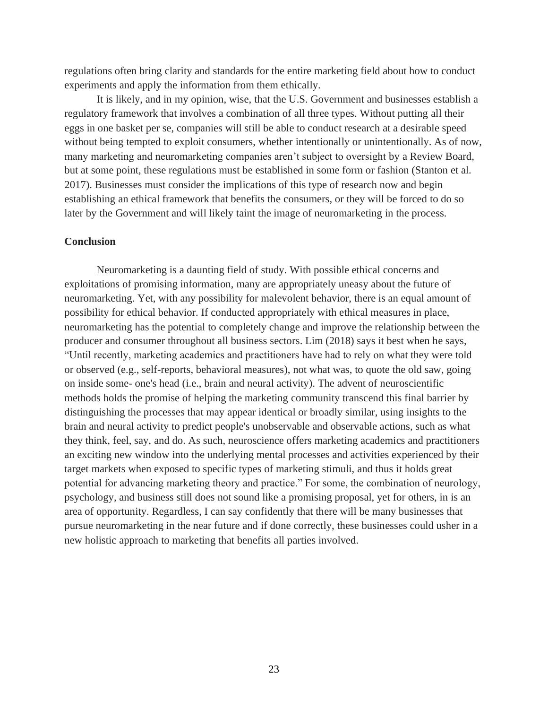regulations often bring clarity and standards for the entire marketing field about how to conduct experiments and apply the information from them ethically.

It is likely, and in my opinion, wise, that the U.S. Government and businesses establish a regulatory framework that involves a combination of all three types. Without putting all their eggs in one basket per se, companies will still be able to conduct research at a desirable speed without being tempted to exploit consumers, whether intentionally or unintentionally. As of now, many marketing and neuromarketing companies aren't subject to oversight by a Review Board, but at some point, these regulations must be established in some form or fashion (Stanton et al. 2017). Businesses must consider the implications of this type of research now and begin establishing an ethical framework that benefits the consumers, or they will be forced to do so later by the Government and will likely taint the image of neuromarketing in the process.

#### **Conclusion**

Neuromarketing is a daunting field of study. With possible ethical concerns and exploitations of promising information, many are appropriately uneasy about the future of neuromarketing. Yet, with any possibility for malevolent behavior, there is an equal amount of possibility for ethical behavior. If conducted appropriately with ethical measures in place, neuromarketing has the potential to completely change and improve the relationship between the producer and consumer throughout all business sectors. Lim (2018) says it best when he says, "Until recently, marketing academics and practitioners have had to rely on what they were told or observed (e.g., self-reports, behavioral measures), not what was, to quote the old saw, going on inside some- one's head (i.e., brain and neural activity). The advent of neuroscientific methods holds the promise of helping the marketing community transcend this final barrier by distinguishing the processes that may appear identical or broadly similar, using insights to the brain and neural activity to predict people's unobservable and observable actions, such as what they think, feel, say, and do. As such, neuroscience offers marketing academics and practitioners an exciting new window into the underlying mental processes and activities experienced by their target markets when exposed to specific types of marketing stimuli, and thus it holds great potential for advancing marketing theory and practice." For some, the combination of neurology, psychology, and business still does not sound like a promising proposal, yet for others, in is an area of opportunity. Regardless, I can say confidently that there will be many businesses that pursue neuromarketing in the near future and if done correctly, these businesses could usher in a new holistic approach to marketing that benefits all parties involved.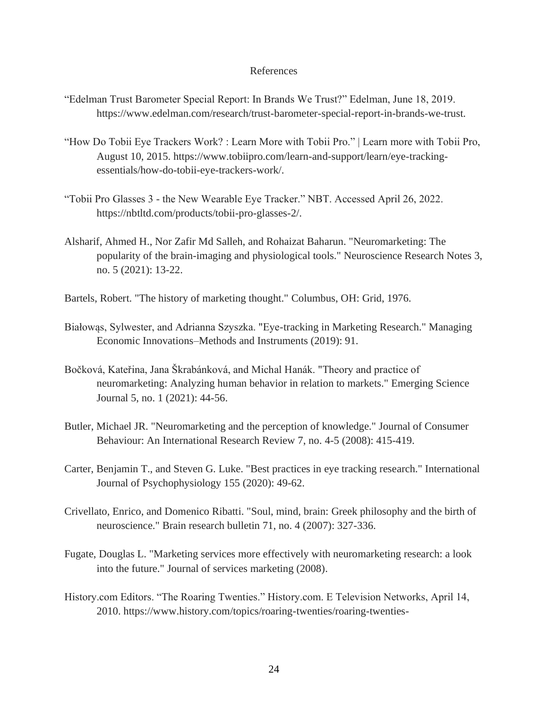#### References

- "Edelman Trust Barometer Special Report: In Brands We Trust?" Edelman, June 18, 2019. https://www.edelman.com/research/trust-barometer-special-report-in-brands-we-trust.
- "How Do Tobii Eye Trackers Work? : Learn More with Tobii Pro." | Learn more with Tobii Pro, August 10, 2015. https://www.tobiipro.com/learn-and-support/learn/eye-trackingessentials/how-do-tobii-eye-trackers-work/.
- "Tobii Pro Glasses 3 the New Wearable Eye Tracker." NBT. Accessed April 26, 2022. https://nbtltd.com/products/tobii-pro-glasses-2/.
- Alsharif, Ahmed H., Nor Zafir Md Salleh, and Rohaizat Baharun. "Neuromarketing: The popularity of the brain-imaging and physiological tools." Neuroscience Research Notes 3, no. 5 (2021): 13-22.
- Bartels, Robert. "The history of marketing thought." Columbus, OH: Grid, 1976.
- Białowąs, Sylwester, and Adrianna Szyszka. "Eye-tracking in Marketing Research." Managing Economic Innovations–Methods and Instruments (2019): 91.
- Bočková, Kateřina, Jana Škrabánková, and Michal Hanák. "Theory and practice of neuromarketing: Analyzing human behavior in relation to markets." Emerging Science Journal 5, no. 1 (2021): 44-56.
- Butler, Michael JR. "Neuromarketing and the perception of knowledge." Journal of Consumer Behaviour: An International Research Review 7, no. 4-5 (2008): 415-419.
- Carter, Benjamin T., and Steven G. Luke. "Best practices in eye tracking research." International Journal of Psychophysiology 155 (2020): 49-62.
- Crivellato, Enrico, and Domenico Ribatti. "Soul, mind, brain: Greek philosophy and the birth of neuroscience." Brain research bulletin 71, no. 4 (2007): 327-336.
- Fugate, Douglas L. "Marketing services more effectively with neuromarketing research: a look into the future." Journal of services marketing (2008).
- History.com Editors. "The Roaring Twenties." History.com. E Television Networks, April 14, 2010. https://www.history.com/topics/roaring-twenties/roaring-twenties-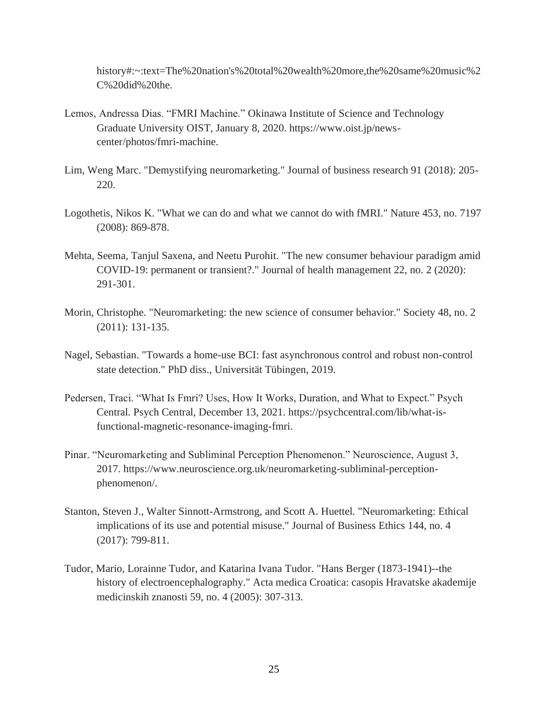history#:~:text=The%20nation's%20total%20wealth%20more,the%20same%20music%2 C%20did%20the.

- Lemos, Andressa Dias. "FMRI Machine." Okinawa Institute of Science and Technology Graduate University OIST, January 8, 2020. https://www.oist.jp/newscenter/photos/fmri-machine.
- Lim, Weng Marc. "Demystifying neuromarketing." Journal of business research 91 (2018): 205- 220.
- Logothetis, Nikos K. "What we can do and what we cannot do with fMRI." Nature 453, no. 7197 (2008): 869-878.
- Mehta, Seema, Tanjul Saxena, and Neetu Purohit. "The new consumer behaviour paradigm amid COVID-19: permanent or transient?." Journal of health management 22, no. 2 (2020): 291-301.
- Morin, Christophe. "Neuromarketing: the new science of consumer behavior." Society 48, no. 2 (2011): 131-135.
- Nagel, Sebastian. "Towards a home-use BCI: fast asynchronous control and robust non-control state detection." PhD diss., Universität Tübingen, 2019.
- Pedersen, Traci. "What Is Fmri? Uses, How It Works, Duration, and What to Expect." Psych Central. Psych Central, December 13, 2021. https://psychcentral.com/lib/what-isfunctional-magnetic-resonance-imaging-fmri.
- Pinar. "Neuromarketing and Subliminal Perception Phenomenon." Neuroscience, August 3, 2017. https://www.neuroscience.org.uk/neuromarketing-subliminal-perceptionphenomenon/.
- Stanton, Steven J., Walter Sinnott-Armstrong, and Scott A. Huettel. "Neuromarketing: Ethical implications of its use and potential misuse." Journal of Business Ethics 144, no. 4 (2017): 799-811.
- Tudor, Mario, Lorainne Tudor, and Katarina Ivana Tudor. "Hans Berger (1873-1941)--the history of electroencephalography." Acta medica Croatica: casopis Hravatske akademije medicinskih znanosti 59, no. 4 (2005): 307-313.